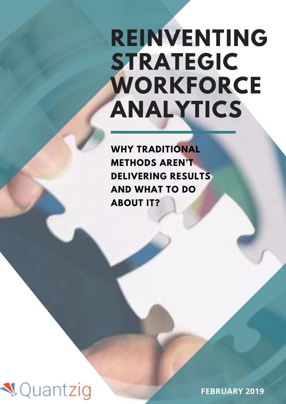# **REINVENTING STRATEGIC WORKFORCE ANALYTICS**

**WHY TRADITIONAL METHODS AREN'T DELIVERING RESULTS AND WHAT TO DO ABOUT IT?**



**FEBRUARY 2019**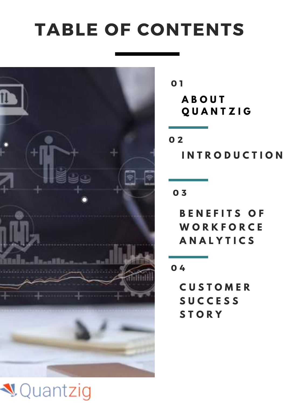## TABLE OF CONTENTS



**A B O U T Q U A N T Z I G** 0 1

**I N T R O D U C T I O N** 0 2

0 3

**B E N E F I T S O F W O R K F O R C E A N A L Y T I C S**

0 4

**C U S T O M E R S U C C E S S S T O R Y**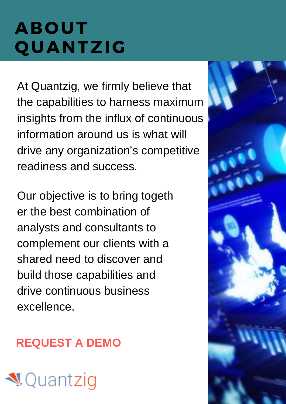# ABOUT QUANTZIG

At Quantzig, we firmly believe that the capabilities to harness maximum insights from the influx of continuous information around us is what will drive any organization's competitive readiness and success.

Our objective is to bring togeth er the best combination of analysts and consultants to complement our clients with a shared need to discover and build those capabilities and drive continuous business excellence.

### **[REQUEST A DEMO](https://www.quantzig.com/request-a-demo?utm_source=WP7&utm_medium=WPWeek7&utm_campaign=WPWeek7)**

# **V** Quantzig

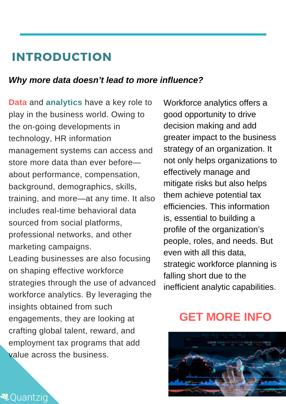#### INTRODUCTION

#### *Why more data doesn't lead to more influence?*

**Data** and **analytics** have a key role to play in the business world. Owing to the on-going developments in technology, HR information management systems can access and store more data than ever before about performance, compensation, background, demographics, skills, training, and more—at any time. It also includes real-time behavioral data sourced from social platforms, professional networks, and other marketing campaigns. Leading businesses are also focusing on shaping effective workforce strategies through the use of advanced workforce analytics. By leveraging the insights obtained from such engagements, they are looking at crafting global talent, reward, and employment tax programs that add value across the business.

**₹**Ouantziq

Workforce analytics offers a good opportunity to drive decision making and add greater impact to the business strategy of an organization. It not only helps organizations to effectively manage and mitigate risks but also helps them achieve potential tax efficiencies. This information is, essential to building a profile of the organization's people, roles, and needs. But even with all this data, strategic workforce planning is falling short due to the inefficient analytic capabilities.

#### **[GET MORE INFO](https://www.quantzig.com/get-more-info?utm_source=WP7&utm_medium=WPWeek7&utm_campaign=WPWeek7)**

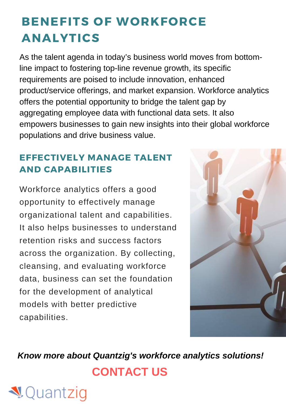### BENEFITS OF WORKFORCE ANALYTICS

As the talent agenda in today's business world moves from bottomline impact to fostering top-line revenue growth, its specific requirements are poised to include innovation, enhanced product/service offerings, and market expansion. Workforce analytics offers the potential opportunity to bridge the talent gap by aggregating employee data with functional data sets. It also empowers businesses to gain new insights into their global workforce populations and drive business value.

#### EFFECTIVELY MANAGE TALENT AND CAPABILITIES

Workforce analytics offers a good opportunity to effectively manage organizational talent and capabilities. It also helps businesses to understand retention risks and success factors across the organization. By collecting, cleansing, and evaluating workforce data, business can set the foundation for the development of analytical models with better predictive capabilities.

**₹**Quantzig



*Know more about Quantzig's workforce analytics solutions!* **[CONTACT US](https://www.quantzig.com/contact-us?utm_source=WP7&utm_medium=WPWeek7&utm_campaign=WPWeek7)**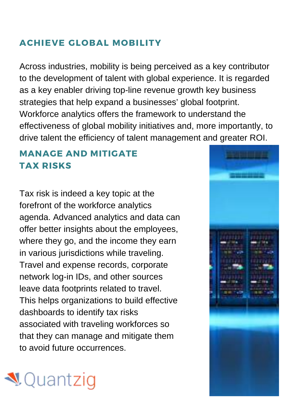#### ACHIEVE GLOBAL MOBILITY

Across industries, mobility is being perceived as a key contributor to the development of talent with global experience. It is regarded as a key enabler driving top-line revenue growth key business strategies that help expand a businesses' global footprint. Workforce analytics offers the framework to understand the effectiveness of global mobility initiatives and, more importantly, to drive talent the efficiency of talent management and greater ROI.

#### MANAGE AND MITIGATE TAX RISKS

Tax risk is indeed a key topic at the forefront of the workforce analytics agenda. Advanced analytics and data can offer better insights about the employees, where they go, and the income they earn in various jurisdictions while traveling. Travel and expense records, corporate network log-in IDs, and other sources leave data footprints related to travel. This helps organizations to build effective dashboards to identify tax risks associated with traveling workforces so that they can manage and mitigate them to avoid future occurrences.



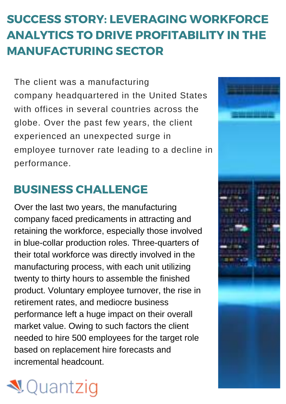### SUCCESS STORY: LEVERAGING WORKFORCE ANALYTICS TO DRIVE PROFITABILITY IN THE MANUFACTURING SECTOR

The client was a manufacturing company headquartered in the United States with offices in several countries across the globe. Over the past few years, the client experienced an unexpected surge in employee turnover rate leading to a decline in performance.

#### BUSINESS CHALLENGE

Over the last two years, the manufacturing company faced predicaments in attracting and retaining the workforce, especially those involved in blue-collar production roles. Three-quarters of their total workforce was directly involved in the manufacturing process, with each unit utilizing twenty to thirty hours to assemble the finished product. Voluntary employee turnover, the rise in retirement rates, and mediocre business performance left a huge impact on their overall market value. Owing to such factors the client needed to hire 500 employees for the target role based on replacement hire forecasts and incremental headcount.



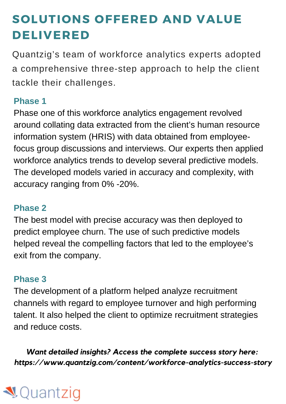### SOLUTIONS OFFERED AND VALUE DELIVERED

Quantzig's team of workforce analytics experts adopted a comprehensive three-step approach to help the client tackle their challenges.

#### **Phase 1**

Phase one of this workforce analytics engagement revolved around collating data extracted from the client's human resource information system (HRIS) with data obtained from employeefocus group discussions and interviews. Our experts then applied workforce analytics trends to develop several predictive models. The developed models varied in accuracy and complexity, with accuracy ranging from 0% -20%.

#### **Phase 2**

The best model with precise accuracy was then deployed to predict employee churn. The use of such predictive models helped reveal the compelling factors that led to the employee's exit from the company.

#### **Phase 3**

The development of a platform helped analyze recruitment channels with regard to employee turnover and high performing talent. It also helped the client to optimize recruitment strategies and reduce costs.

*Want detailed insights? Access the complete success story here: https://www.quantzig.com/content/workforce-analytics-success-story*

### ¶Quantziq